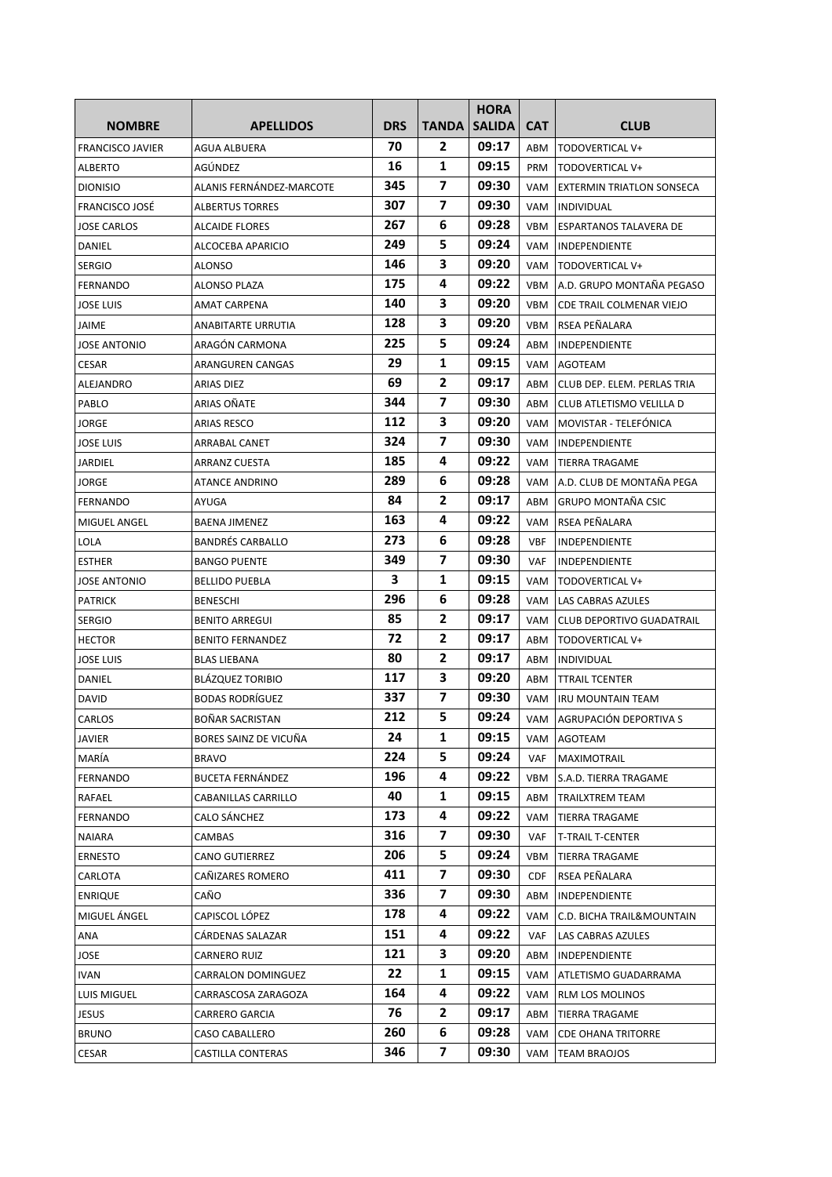| <b>NOMBRE</b>           | <b>APELLIDOS</b>         | <b>DRS</b> | TANDA          | <b>HORA</b><br><b>SALIDA</b> | <b>CAT</b> | <b>CLUB</b>                      |
|-------------------------|--------------------------|------------|----------------|------------------------------|------------|----------------------------------|
|                         |                          | 70         | 2              | 09:17                        |            |                                  |
| <b>FRANCISCO JAVIER</b> | <b>AGUA ALBUERA</b>      | 16         | 1              | 09:15                        | ABM        | TODOVERTICAL V+                  |
| ALBERTO                 | AGÚNDEZ                  | 345        | 7              | 09:30                        | PRM<br>VAM | TODOVERTICAL V+                  |
| <b>DIONISIO</b>         | ALANIS FERNÁNDEZ-MARCOTE | 307        | $\overline{7}$ | 09:30                        |            | <b>EXTERMIN TRIATLON SONSECA</b> |
| FRANCISCO JOSÉ          | <b>ALBERTUS TORRES</b>   | 267        | 6              | 09:28                        | VAM        | INDIVIDUAL                       |
| JOSE CARLOS             | <b>ALCAIDE FLORES</b>    |            |                |                              | VBM        | ESPARTANOS TALAVERA DE           |
| DANIEL                  | ALCOCEBA APARICIO        | 249        | 5.<br>3        | 09:24<br>09:20               | VAM        | <b>INDEPENDIENTE</b>             |
| <b>SERGIO</b>           | ALONSO                   | 146        |                |                              | VAM        | TODOVERTICAL V+                  |
| <b>FERNANDO</b>         | ALONSO PLAZA             | 175        | 4              | 09:22                        | VBM        | A.D. GRUPO MONTAÑA PEGASO        |
| <b>JOSE LUIS</b>        | AMAT CARPENA             | 140        | з              | 09:20                        | VBM        | CDE TRAIL COLMENAR VIEJO         |
| JAIME                   | ANABITARTE URRUTIA       | 128        | 3              | 09:20                        | VBM        | RSEA PEÑALARA                    |
| JOSE ANTONIO            | ARAGÓN CARMONA           | 225        | 5              | 09:24                        | ABM        | <b>INDEPENDIENTE</b>             |
| CESAR                   | ARANGUREN CANGAS         | 29         | 1              | 09:15                        | VAM        | AGOTEAM                          |
| <b>ALEJANDRO</b>        | ARIAS DIEZ               | 69         | 2              | 09:17                        | ABM        | CLUB DEP. ELEM. PERLAS TRIA      |
| PABLO                   | ARIAS OÑATE              | 344        | 7              | 09:30                        | ABM        | CLUB ATLETISMO VELILLA D         |
| JORGE                   | <b>ARIAS RESCO</b>       | 112        | 3              | 09:20                        | VAM        | MOVISTAR - TELEFÓNICA            |
| JOSE LUIS               | <b>ARRABAL CANET</b>     | 324        | 7              | 09:30                        | VAM        | <b>INDEPENDIENTE</b>             |
| JARDIEL                 | <b>ARRANZ CUESTA</b>     | 185        | 4              | 09:22                        | VAM        | <b>TIERRA TRAGAME</b>            |
| JORGE                   | <b>ATANCE ANDRINO</b>    | 289        | 6              | 09:28                        |            | VAM   A.D. CLUB DE MONTAÑA PEGA  |
| <b>FERNANDO</b>         | AYUGA                    | 84         | 2              | 09:17                        | ABM        | <b>GRUPO MONTAÑA CSIC</b>        |
| MIGUEL ANGEL            | <b>BAENA JIMENEZ</b>     | 163        | 4              | 09:22                        | VAM        | RSEA PEÑALARA                    |
| LOLA                    | <b>BANDRÉS CARBALLO</b>  | 273        | 6              | 09:28                        | <b>VBF</b> | <b>INDEPENDIENTE</b>             |
| ESTHER                  | <b>BANGO PUENTE</b>      | 349        | 7              | 09:30                        | <b>VAF</b> | INDEPENDIENTE                    |
| JOSE ANTONIO            | <b>BELLIDO PUEBLA</b>    | 3          | 1              | 09:15                        | VAM        | TODOVERTICAL V+                  |
| <b>PATRICK</b>          | <b>BENESCHI</b>          | 296        | 6              | 09:28                        | VAM        | LAS CABRAS AZULES                |
| <b>SERGIO</b>           | <b>BENITO ARREGUI</b>    | 85         | 2              | 09:17                        | VAM        | <b>CLUB DEPORTIVO GUADATRAIL</b> |
| <b>HECTOR</b>           | <b>BENITO FERNANDEZ</b>  | 72         | 2              | 09:17                        | ABM        | TODOVERTICAL V+                  |
| <b>JOSE LUIS</b>        | <b>BLAS LIEBANA</b>      | 80         | $\overline{2}$ | 09:17                        | ABM        | <b>INDIVIDUAL</b>                |
| <b>DANIEL</b>           | <b>BLÁZQUEZ TORIBIO</b>  | 117        | 3              | 09:20                        | ABM        | <b>TTRAIL TCENTER</b>            |
| DAVID                   | <b>BODAS RODRÍGUEZ</b>   | 337        | 7              | 09:30                        | VAM        | IRU MOUNTAIN TEAM                |
| CARLOS                  | <b>BOÑAR SACRISTAN</b>   | 212        | 5              | 09:24                        |            | VAM AGRUPACIÓN DEPORTIVA S       |
| JAVIER                  | BORES SAINZ DE VICUÑA    | 24         | 1              | 09:15                        | VAM        | AGOTEAM                          |
| MARÍA                   | <b>BRAVO</b>             | 224        | 5.             | 09:24                        | VAF        | MAXIMOTRAIL                      |
| <b>FERNANDO</b>         | <b>BUCETA FERNÁNDEZ</b>  | 196        | 4              | 09:22                        | VBM        | S.A.D. TIERRA TRAGAME            |
| RAFAEL                  | CABANILLAS CARRILLO      | 40         | 1              | 09:15                        | ABM        | TRAILXTREM TEAM                  |
| FERNANDO                | CALO SÁNCHEZ             | 173        | 4              | 09:22                        | VAM        | TIERRA TRAGAME                   |
| NAIARA                  | CAMBAS                   | 316        | 7              | 09:30                        | <b>VAF</b> | <b>T-TRAIL T-CENTER</b>          |
| ERNESTO                 | CANO GUTIERREZ           | 206        | 5              | 09:24                        | VBM        | TIERRA TRAGAME                   |
| CARLOTA                 | CAÑIZARES ROMERO         | 411        | 7              | 09:30                        | <b>CDF</b> | RSEA PEÑALARA                    |
| <b>ENRIQUE</b>          | CAÑO                     | 336        | 7              | 09:30                        | ABM        | INDEPENDIENTE                    |
| MIGUEL ÁNGEL            | CAPISCOL LÓPEZ           | 178        | 4              | 09:22                        | VAM        | C.D. BICHA TRAIL&MOUNTAIN        |
| ANA                     | CÁRDENAS SALAZAR         | 151        | 4              | 09:22                        | <b>VAF</b> | LAS CABRAS AZULES                |
| JOSE                    | CARNERO RUIZ             | 121        | з              | 09:20                        | ABM        | INDEPENDIENTE                    |
| IVAN                    | CARRALON DOMINGUEZ       | 22         | 1              | 09:15                        | VAM        | ATLETISMO GUADARRAMA             |
| LUIS MIGUEL             | CARRASCOSA ZARAGOZA      | 164        | 4              | 09:22                        | VAM        | RLM LOS MOLINOS                  |
| JESUS                   | CARRERO GARCIA           | 76         | 2              | 09:17                        | ABM        | TIERRA TRAGAME                   |
| <b>BRUNO</b>            | CASO CABALLERO           | 260        | 6              | 09:28                        | VAM        | <b>CDE OHANA TRITORRE</b>        |
| CESAR                   | CASTILLA CONTERAS        | 346        | 7              | 09:30                        | VAM        | <b>TEAM BRAOJOS</b>              |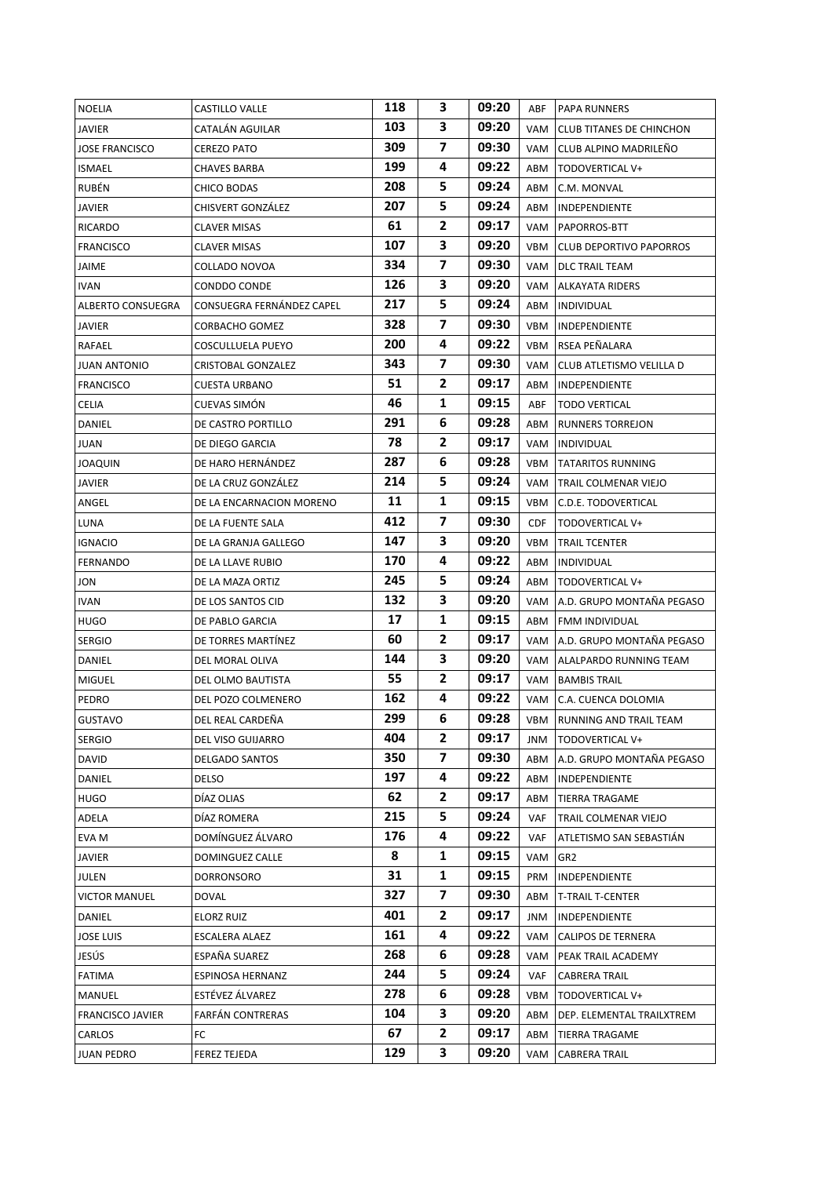| <b>NOELIA</b>         | CASTILLO VALLE            | 118 | 3              | 09:20 | ABF  | PAPA RUNNERS                    |
|-----------------------|---------------------------|-----|----------------|-------|------|---------------------------------|
| JAVIER                | CATALÁN AGUILAR           | 103 | 3              | 09:20 | VAM  | <b>CLUB TITANES DE CHINCHON</b> |
| <b>JOSE FRANCISCO</b> | <b>CEREZO PATO</b>        | 309 | $\overline{7}$ | 09:30 | VAM  | CLUB ALPINO MADRILEÑO           |
| <b>ISMAEL</b>         | <b>CHAVES BARBA</b>       | 199 | 4              | 09:22 | ABM  | TODOVERTICAL V+                 |
| RUBÉN                 | CHICO BODAS               | 208 | 5              | 09:24 | ABM  | C.M. MONVAL                     |
| JAVIER                | CHISVERT GONZÁLEZ         | 207 | 5              | 09:24 | ABM  | INDEPENDIENTE                   |
| RICARDO               | <b>CLAVER MISAS</b>       | 61  | $\mathbf{z}$   | 09:17 |      | VAM   PAPORROS-BTT              |
| <b>FRANCISCO</b>      | <b>CLAVER MISAS</b>       | 107 | 3              | 09:20 | VBM  | <b>CLUB DEPORTIVO PAPORROS</b>  |
| JAIME                 | COLLADO NOVOA             | 334 | $\overline{7}$ | 09:30 |      | VAM   DLC TRAIL TEAM            |
| <b>IVAN</b>           | CONDDO CONDE              | 126 | 3              | 09:20 | VAM  | ALKAYATA RIDERS                 |
| ALBERTO CONSUEGRA     | CONSUEGRA FERNÁNDEZ CAPEL | 217 | 5.             | 09:24 |      | ABM   INDIVIDUAL                |
| <b>JAVIER</b>         | CORBACHO GOMEZ            | 328 | 7              | 09:30 |      | VBM   INDEPENDIENTE             |
| RAFAEL                | COSCULLUELA PUEYO         | 200 | 4              | 09:22 |      | VBM   RSEA PEÑALARA             |
| <b>JUAN ANTONIO</b>   | CRISTOBAL GONZALEZ        | 343 | 7              | 09:30 | VAM  | CLUB ATLETISMO VELILLA D        |
| <b>FRANCISCO</b>      | CUESTA URBANO             | 51  | 2              | 09:17 | ABM  | INDEPENDIENTE                   |
| CELIA                 | <b>CUEVAS SIMON</b>       | 46  | 1              | 09:15 | ABF  | <b>TODO VERTICAL</b>            |
| DANIEL                | DE CASTRO PORTILLO        | 291 | 6              | 09:28 | ABM  | <b>RUNNERS TORREJON</b>         |
| JUAN                  | DE DIEGO GARCIA           | 78  | 2              | 09:17 | VAM  | INDIVIDUAL                      |
| <b>JOAQUIN</b>        | DE HARO HERNÁNDEZ         | 287 | 6              | 09:28 | VBM  | <b>TATARITOS RUNNING</b>        |
| JAVIER                | DE LA CRUZ GONZÁLEZ       | 214 | 5.             | 09:24 | VAM  | TRAIL COLMENAR VIEJO            |
| ANGEL                 | DE LA ENCARNACION MORENO  | 11  | 1              | 09:15 | VBM  | C.D.E. TODOVERTICAL             |
| LUNA                  | DE LA FUENTE SALA         | 412 | 7              | 09:30 | CDF. | TODOVERTICAL V+                 |
| <b>IGNACIO</b>        | DE LA GRANJA GALLEGO      | 147 | 3              | 09:20 | VBM  | TRAIL TCENTER                   |
| <b>FERNANDO</b>       | DE LA LLAVE RUBIO         | 170 | 4              | 09:22 | ABM  | <b>INDIVIDUAL</b>               |
| JON                   | DE LA MAZA ORTIZ          | 245 | 5              | 09:24 | ABM  | TODOVERTICAL V+                 |
| <b>IVAN</b>           | DE LOS SANTOS CID         | 132 | 3              | 09:20 | VAM  | A.D. GRUPO MONTAÑA PEGASO       |
| HUGO                  | DE PABLO GARCIA           | 17  | 1              | 09:15 | ABM  | FMM INDIVIDUAL                  |
| <b>SERGIO</b>         | DE TORRES MARTÍNEZ        | 60  | $\mathbf{2}$   | 09:17 |      | VAM A.D. GRUPO MONTAÑA PEGASO   |
| DANIEL                | DEL MORAL OLIVA           | 144 | 3              | 09:20 | VAM  | ALALPARDO RUNNING TEAM          |
| <b>MIGUEL</b>         | DEL OLMO BAUTISTA         | 55  | $\mathbf{z}$   | 09:17 |      | VAM   BAMBIS TRAIL              |
| PEDRO                 | DEL POZO COLMENERO        | 162 | 4              | 09:22 | VAM  | C.A. CUENCA DOLOMIA             |
| <b>GUSTAVO</b>        | DEL REAL CARDEÑA          | 299 | 6              | 09:28 |      | VBM   RUNNING AND TRAIL TEAM    |
| SERGIO                | DEL VISO GUIJARRO         | 404 | 2              | 09:17 | JNM  | TODOVERTICAL V+                 |
| DAVID                 | <b>DELGADO SANTOS</b>     | 350 | 7              | 09:30 | ABM  | A.D. GRUPO MONTAÑA PEGASO       |
| DANIEL                | DELSO                     | 197 | 4              | 09:22 | ABM  | INDEPENDIENTE                   |
| <b>HUGO</b>           | DÍAZ OLIAS                | 62  | 2              | 09:17 | ABM  | TIERRA TRAGAME                  |
| ADELA                 | DÍAZ ROMERA               | 215 | 5              | 09:24 | VAF  | TRAIL COLMENAR VIEJO            |
| EVA M                 | DOMÍNGUEZ ÁLVARO          | 176 | 4              | 09:22 | VAF  | ATLETISMO SAN SEBASTIÁN         |
| JAVIER                | DOMINGUEZ CALLE           | 8   | 1              | 09:15 | VAM  | GR2                             |
| JULEN                 | DORRONSORO                | 31  | 1              | 09:15 | PRM  | INDEPENDIENTE                   |
| VICTOR MANUEL         | DOVAL                     | 327 | 7              | 09:30 | ABM  | <b>T-TRAIL T-CENTER</b>         |
| DANIEL                | ELORZ RUIZ                | 401 | 2              | 09:17 | JNM  | INDEPENDIENTE                   |
| <b>JOSE LUIS</b>      | ESCALERA ALAEZ            | 161 | 4              | 09:22 | VAM  | <b>CALIPOS DE TERNERA</b>       |
| JESÚS                 | ESPAÑA SUAREZ             | 268 | 6              | 09:28 | VAM  | PEAK TRAIL ACADEMY              |
| FATIMA                | ESPINOSA HERNANZ          | 244 | 5              | 09:24 | VAF  | CABRERA TRAIL                   |
| MANUEL                | ESTÉVEZ ÁLVAREZ           | 278 | 6              | 09:28 | VBM  | TODOVERTICAL V+                 |
| FRANCISCO JAVIER      | FARFÁN CONTRERAS          | 104 | 3              | 09:20 | ABM  | DEP. ELEMENTAL TRAILXTREM       |
| CARLOS                | FC                        | 67  | $\mathbf{2}$   | 09:17 | ABM  | TIERRA TRAGAME                  |
| <b>JUAN PEDRO</b>     | FEREZ TEJEDA              | 129 | 3              | 09:20 | VAM  | CABRERA TRAIL                   |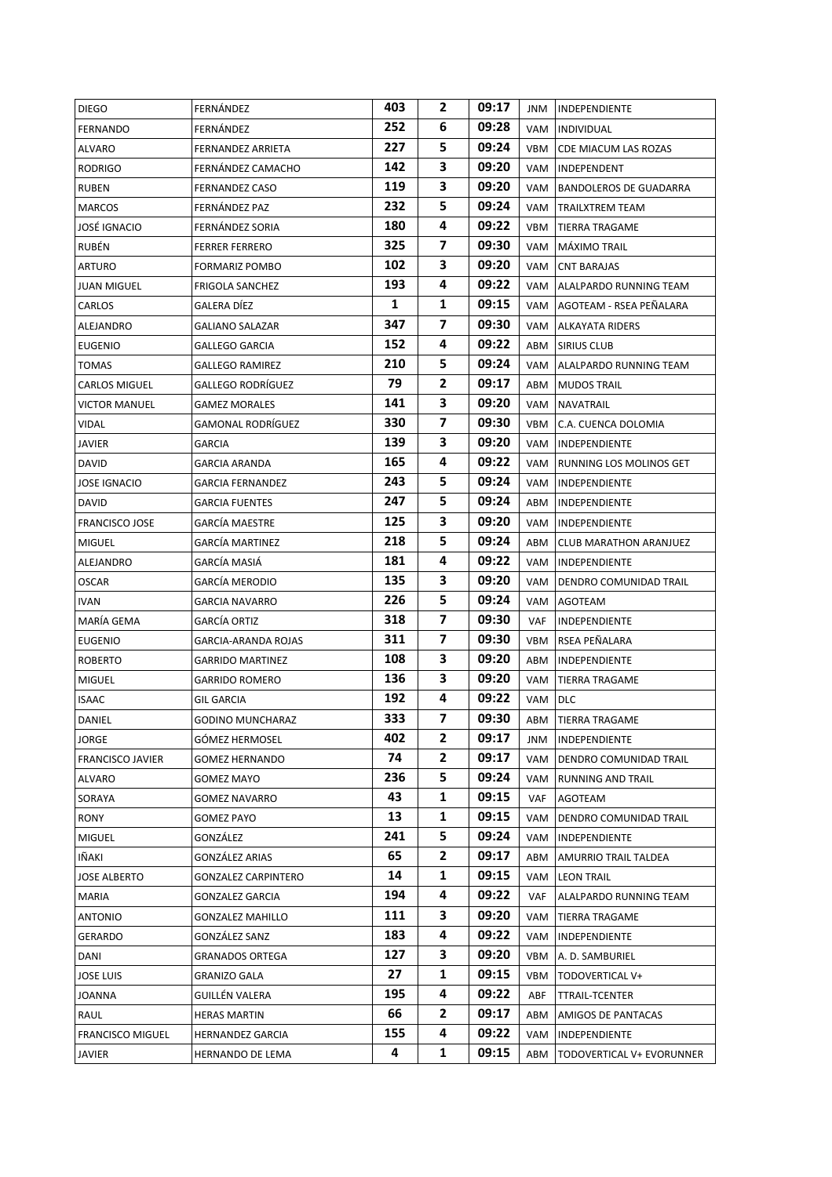| <b>DIEGO</b>            | FERNÁNDEZ                | 403          | 2                       | 09:17 | JNM | INDEPENDIENTE                   |
|-------------------------|--------------------------|--------------|-------------------------|-------|-----|---------------------------------|
| FERNANDO                | FERNÁNDEZ                | 252          | 6                       | 09:28 | VAM | <b>INDIVIDUAL</b>               |
| ALVARO                  | <b>FERNANDEZ ARRIETA</b> | 227          | 5                       | 09:24 | VBM | CDE MIACUM LAS ROZAS            |
| <b>RODRIGO</b>          | FERNÁNDEZ CAMACHO        | 142          | 3.                      | 09:20 | VAM | INDEPENDENT                     |
| <b>RUBEN</b>            | <b>FERNANDEZ CASO</b>    | 119          | 3                       | 09:20 | VAM | BANDOLEROS DE GUADARRA          |
| <b>MARCOS</b>           | FERNÁNDEZ PAZ            | 232          | 5                       | 09:24 | VAM | <b>TRAILXTREM TEAM</b>          |
| <b>JOSÉ IGNACIO</b>     | FERNÁNDEZ SORIA          | 180          | 4                       | 09:22 | VBM | TIERRA TRAGAME                  |
| RUBÉN                   | <b>FERRER FERRERO</b>    | 325          | 7                       | 09:30 | VAM | MÁXIMO TRAIL                    |
| ARTURO                  | FORMARIZ POMBO           | 102          | 3                       | 09:20 | VAM | <b>CNT BARAJAS</b>              |
| <b>JUAN MIGUEL</b>      | <b>FRIGOLA SANCHEZ</b>   | 193          | 4                       | 09:22 |     | VAM ALALPARDO RUNNING TEAM      |
| CARLOS                  | GALERA DÍEZ              | $\mathbf{1}$ | 1                       | 09:15 |     | VAM AGOTEAM - RSEA PEÑALARA     |
| ALEJANDRO               | <b>GALIANO SALAZAR</b>   | 347          | $\overline{ }$          | 09:30 | VAM | ALKAYATA RIDERS                 |
| <b>EUGENIO</b>          | GALLEGO GARCIA           | 152          | 4                       | 09:22 | ABM | SIRIUS CLUB                     |
| <b>TOMAS</b>            | <b>GALLEGO RAMIREZ</b>   | 210          | 5.                      | 09:24 |     | VAM ALALPARDO RUNNING TEAM      |
| <b>CARLOS MIGUEL</b>    | GALLEGO RODRÍGUEZ        | 79           | 2                       | 09:17 | ABM | <b>MUDOS TRAIL</b>              |
| <b>VICTOR MANUEL</b>    | GAMEZ MORALES            | 141          | 3                       | 09:20 | VAM | NAVATRAIL                       |
| VIDAL                   | GAMONAL RODRÍGUEZ        | 330          | 7                       | 09:30 | VBM | C.A. CUENCA DOLOMIA             |
| <b>JAVIER</b>           | GARCIA                   | 139          | 3                       | 09:20 | VAM | <b>INDEPENDIENTE</b>            |
| DAVID                   | GARCIA ARANDA            | 165          | 4                       | 09:22 | VAM | RUNNING LOS MOLINOS GET         |
| <b>JOSE IGNACIO</b>     | <b>GARCIA FERNANDEZ</b>  | 243          | 5                       | 09:24 | VAM | INDEPENDIENTE                   |
| DAVID                   | GARCIA FUENTES           | 247          | 5                       | 09:24 | ABM | <b>INDEPENDIENTE</b>            |
| <b>FRANCISCO JOSE</b>   | GARCÍA MAESTRE           | 125          | 3                       | 09:20 | VAM | <b>INDEPENDIENTE</b>            |
| <b>MIGUEL</b>           | GARCÍA MARTINEZ          | 218          | 5                       | 09:24 | ABM | <b>CLUB MARATHON ARANJUEZ</b>   |
| ALEJANDRO               | GARCÍA MASIÁ             | 181          | 4                       | 09:22 | VAM | <b>INDEPENDIENTE</b>            |
| <b>OSCAR</b>            | GARCÍA MERODIO           | 135          | 3                       | 09:20 | VAM | DENDRO COMUNIDAD TRAIL          |
| <b>IVAN</b>             | GARCIA NAVARRO           | 226          | 5                       | 09:24 | VAM | AGOTEAM                         |
| MARÍA GEMA              | GARCÍA ORTIZ             | 318          | 7                       | 09:30 | VAF | <b>INDEPENDIENTE</b>            |
| <b>EUGENIO</b>          | GARCIA-ARANDA ROJAS      | 311          | 7                       | 09:30 | VBM | RSEA PEÑALARA                   |
| <b>ROBERTO</b>          | <b>GARRIDO MARTINEZ</b>  | 108          | 3                       | 09:20 | ABM | <b>INDEPENDIENTE</b>            |
| <b>MIGUEL</b>           | GARRIDO ROMERO           | 136          | 3                       | 09:20 | VAM | <b>TIERRA TRAGAME</b>           |
| <b>ISAAC</b>            | GIL GARCIA               | 192          | 4                       | 09:22 | VAM | <b>DLC</b>                      |
| DANIEL                  | GODINO MUNCHARAZ         | 333          | $\overline{\mathbf{z}}$ | 09:30 |     | ABM TIERRA TRAGAME              |
| JORGE                   | GÓMEZ HERMOSEL           | 402          | 2                       | 09:17 | JNM | INDEPENDIENTE                   |
| <b>FRANCISCO JAVIER</b> | GOMEZ HERNANDO           | 74           | 2                       | 09:17 | VAM | DENDRO COMUNIDAD TRAIL          |
| ALVARO                  | GOMEZ MAYO               | 236          | 5                       | 09:24 | VAM | <b>RUNNING AND TRAIL</b>        |
| SORAYA                  | GOMEZ NAVARRO            | 43           | 1                       | 09:15 | VAF | AGOTEAM                         |
| RONY                    | GOMEZ PAYO               | 13           | 1                       | 09:15 | VAM | DENDRO COMUNIDAD TRAIL          |
| <b>MIGUEL</b>           | GONZÁLEZ                 | 241          | 5                       | 09:24 | VAM | INDEPENDIENTE                   |
| IÑAKI                   | GONZÁLEZ ARIAS           | 65           | 2                       | 09:17 | ABM | AMURRIO TRAIL TALDEA            |
| <b>JOSE ALBERTO</b>     | GONZALEZ CARPINTERO      | 14           | 1                       | 09:15 | VAM | <b>LEON TRAIL</b>               |
| MARIA                   | GONZALEZ GARCIA          | 194          | 4                       | 09:22 | VAF | ALALPARDO RUNNING TEAM          |
| ANTONIO                 | <b>GONZALEZ MAHILLO</b>  | 111          | 3                       | 09:20 | VAM | TIERRA TRAGAME                  |
| GERARDO                 | GONZÁLEZ SANZ            | 183          | 4                       | 09:22 | VAM | INDEPENDIENTE                   |
| DANI                    | GRANADOS ORTEGA          | 127          | 3                       | 09:20 | VBM | A. D. SAMBURIEL                 |
| <b>JOSE LUIS</b>        | GRANIZO GALA             | 27           | 1                       | 09:15 | VBM | TODOVERTICAL V+                 |
| <b>JOANNA</b>           | GUILLÉN VALERA           | 195          | 4                       | 09:22 | ABF | TTRAIL-TCENTER                  |
| RAUL                    | <b>HERAS MARTIN</b>      | 66           | 2                       | 09:17 | ABM | AMIGOS DE PANTACAS              |
| <b>FRANCISCO MIGUEL</b> | HERNANDEZ GARCIA         | 155          | 4                       | 09:22 | VAM | INDEPENDIENTE                   |
| JAVIER                  | HERNANDO DE LEMA         | 4            | $\mathbf{1}$            | 09:15 |     | ABM   TODOVERTICAL V+ EVORUNNER |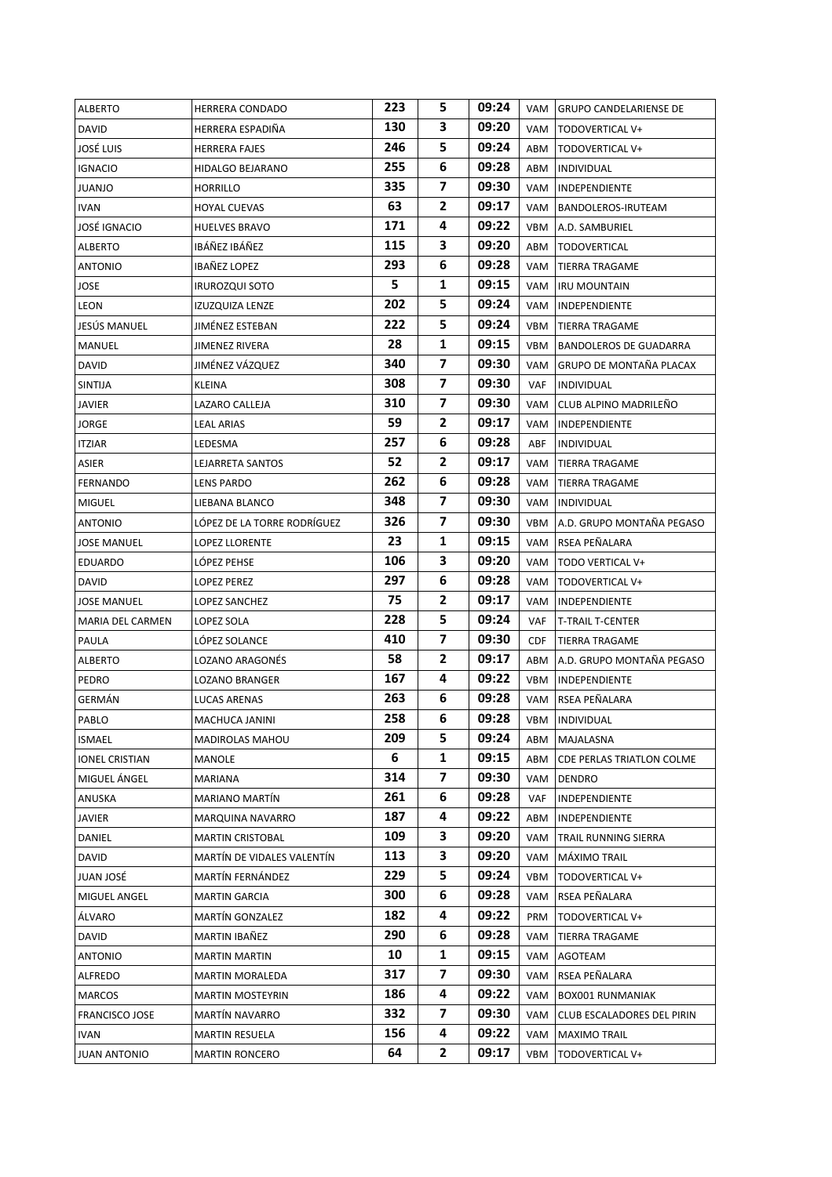| <b>ALBERTO</b>        | <b>HERRERA CONDADO</b>      | 223 | 5              | 09:24 |     | VAM GRUPO CANDELARIENSE DE    |
|-----------------------|-----------------------------|-----|----------------|-------|-----|-------------------------------|
| <b>DAVID</b>          | HERRERA ESPADIÑA            | 130 | 3              | 09:20 | VAM | TODOVERTICAL V+               |
| JOSÉ LUIS             | <b>HERRERA FAJES</b>        | 246 | 5              | 09:24 | ABM | TODOVERTICAL V+               |
| <b>IGNACIO</b>        | HIDALGO BEJARANO            | 255 | 6              | 09:28 | ABM | <b>INDIVIDUAL</b>             |
| JUANJO                | <b>HORRILLO</b>             | 335 | 7              | 09:30 | VAM | INDEPENDIENTE                 |
| <b>IVAN</b>           | <b>HOYAL CUEVAS</b>         | 63  | $\mathbf{2}$   | 09:17 | VAM | <b>BANDOLEROS-IRUTEAM</b>     |
| JOSÉ IGNACIO          | <b>HUELVES BRAVO</b>        | 171 | 4              | 09:22 | VBM | A.D. SAMBURIEL                |
| <b>ALBERTO</b>        | IBÁÑEZ IBÁÑEZ               | 115 | 3              | 09:20 | ABM | <b>TODOVERTICAL</b>           |
| <b>ANTONIO</b>        | IBAÑEZ LOPEZ                | 293 | 6              | 09:28 | VAM | TIERRA TRAGAME                |
| JOSE                  | <b>IRUROZQUI SOTO</b>       | 5   | 1              | 09:15 | VAM | <b>IRU MOUNTAIN</b>           |
| LEON                  | IZUZQUIZA LENZE             | 202 | 5              | 09:24 | VAM | INDEPENDIENTE                 |
| JESÚS MANUEL          | JIMÉNEZ ESTEBAN             | 222 | 5              | 09:24 | VBM | <b>TIERRA TRAGAME</b>         |
| MANUEL                | JIMENEZ RIVERA              | 28  | 1              | 09:15 | VBM | <b>BANDOLEROS DE GUADARRA</b> |
| <b>DAVID</b>          | JIMÉNEZ VÁZQUEZ             | 340 | 7              | 09:30 | VAM | GRUPO DE MONTAÑA PLACAX       |
| SINTIJA               | KLEINA                      | 308 | $\overline{7}$ | 09:30 | VAF | <b>INDIVIDUAL</b>             |
| JAVIER                | LAZARO CALLEJA              | 310 | 7              | 09:30 | VAM | CLUB ALPINO MADRILEÑO         |
| JORGE                 | <b>LEAL ARIAS</b>           | 59  | $\mathbf{2}$   | 09:17 |     | VAM   INDEPENDIENTE           |
| <b>ITZIAR</b>         | LEDESMA                     | 257 | 6              | 09:28 | ABF | <b>INDIVIDUAL</b>             |
| ASIER                 | LEJARRETA SANTOS            | 52  | 2              | 09:17 | VAM | <b>TIERRA TRAGAME</b>         |
| <b>FERNANDO</b>       | LENS PARDO                  | 262 | 6              | 09:28 |     | VAM   TIERRA TRAGAME          |
| <b>MIGUEL</b>         | LIEBANA BLANCO              | 348 | $\overline{7}$ | 09:30 |     | VAM   INDIVIDUAL              |
| <b>ANTONIO</b>        | LÓPEZ DE LA TORRE RODRÍGUEZ | 326 | 7              | 09:30 | VBM | A.D. GRUPO MONTAÑA PEGASO     |
| <b>JOSE MANUEL</b>    | LOPEZ LLORENTE              | 23  | 1              | 09:15 | VAM | RSEA PEÑALARA                 |
| EDUARDO               | LÓPEZ PEHSE                 | 106 | 3              | 09:20 | VAM | TODO VERTICAL V+              |
| DAVID                 | <b>LOPEZ PEREZ</b>          | 297 | 6              | 09:28 | VAM | TODOVERTICAL V+               |
| <b>JOSE MANUEL</b>    | LOPEZ SANCHEZ               | 75  | 2              | 09:17 | VAM | INDEPENDIENTE                 |
| MARIA DEL CARMEN      | LOPEZ SOLA                  | 228 | 5.             | 09:24 | VAF | <b>T-TRAIL T-CENTER</b>       |
| PAULA                 | LÓPEZ SOLANCE               | 410 | 7              | 09:30 | CDF | <b>TIERRA TRAGAME</b>         |
| ALBERTO               | LOZANO ARAGONÉS             | 58  | $\mathbf{2}$   | 09:17 | ABM | A.D. GRUPO MONTAÑA PEGASO     |
| PEDRO                 | LOZANO BRANGER              | 167 | 4              | 09:22 | VBM | INDEPENDIENTE                 |
| GERMÁN                | LUCAS ARENAS                | 263 | 6              | 09:28 | VAM | RSEA PEÑALARA                 |
| PABLO                 | MACHUCA JANINI              | 258 | 6              | 09:28 |     | VBM INDIVIDUAL                |
| ISMAEL                | <b>MADIROLAS MAHOU</b>      | 209 | 5.             | 09:24 | ABM | MAJALASNA                     |
| <b>IONEL CRISTIAN</b> | MANOLE                      | 6   | 1              | 09:15 | ABM | CDE PERLAS TRIATLON COLME     |
| MIGUEL ÁNGEL          | MARIANA                     | 314 | 7              | 09:30 | VAM | DENDRO                        |
| ANUSKA                | <b>MARIANO MARTÍN</b>       | 261 | 6              | 09:28 | VAF | INDEPENDIENTE                 |
| JAVIER                | MARQUINA NAVARRO            | 187 | 4              | 09:22 | ABM | INDEPENDIENTE                 |
| DANIEL                | <b>MARTIN CRISTOBAL</b>     | 109 | 3              | 09:20 | VAM | TRAIL RUNNING SIERRA          |
| DAVID                 | MARTÍN DE VIDALES VALENTÍN  | 113 | 3              | 09:20 | VAM | MÁXIMO TRAIL                  |
| JUAN JOSÉ             | MARTÍN FERNÁNDEZ            | 229 | 5              | 09:24 | VBM | TODOVERTICAL V+               |
| MIGUEL ANGEL          | <b>MARTIN GARCIA</b>        | 300 | 6              | 09:28 | VAM | RSEA PEÑALARA                 |
| ÁLVARO                | MARTÍN GONZALEZ             | 182 | 4              | 09:22 | PRM | TODOVERTICAL V+               |
| DAVID                 | MARTIN IBAÑEZ               | 290 | 6              | 09:28 | VAM | TIERRA TRAGAME                |
| ANTONIO               | MARTIN MARTIN               | 10  | 1              | 09:15 | VAM | AGOTEAM                       |
| ALFREDO               | MARTIN MORALEDA             | 317 | 7              | 09:30 | VAM | RSEA PEÑALARA                 |
| MARCOS                | <b>MARTIN MOSTEYRIN</b>     | 186 | 4              | 09:22 | VAM | <b>BOX001 RUNMANIAK</b>       |
| FRANCISCO JOSE        | MARTÍN NAVARRO              | 332 | 7              | 09:30 | VAM | CLUB ESCALADORES DEL PIRIN    |
| IVAN                  | <b>MARTIN RESUELA</b>       | 156 | 4              | 09:22 | VAM | <b>MAXIMO TRAIL</b>           |
| <b>JUAN ANTONIO</b>   | <b>MARTIN RONCERO</b>       | 64  | 2              | 09:17 |     | VBM   TODOVERTICAL V+         |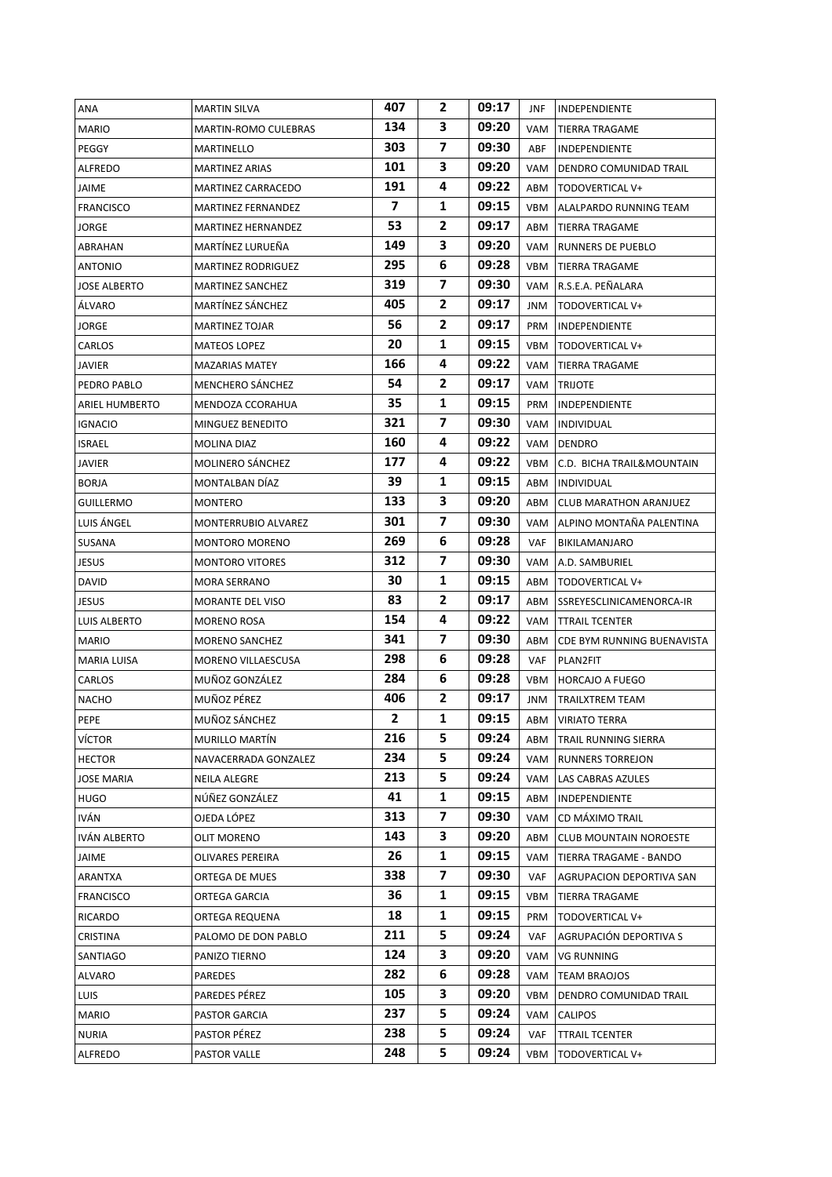| ANA                   | <b>MARTIN SILVA</b>         | 407            | 2              | 09:17 | JNF        | <b>INDEPENDIENTE</b>          |
|-----------------------|-----------------------------|----------------|----------------|-------|------------|-------------------------------|
| <b>MARIO</b>          | <b>MARTIN-ROMO CULEBRAS</b> | 134            | 3              | 09:20 | VAM        | <b>TIERRA TRAGAME</b>         |
| PEGGY                 | MARTINELLO                  | 303            | $\overline{7}$ | 09:30 | ABF        | INDEPENDIENTE                 |
| ALFREDO               | <b>MARTINEZ ARIAS</b>       | 101            | 3              | 09:20 | VAM        | DENDRO COMUNIDAD TRAIL        |
| JAIME                 | MARTINEZ CARRACEDO          | 191            | 4              | 09:22 | ABM        | TODOVERTICAL V+               |
| <b>FRANCISCO</b>      | MARTINEZ FERNANDEZ          | $\overline{7}$ | 1              | 09:15 | VBM        | ALALPARDO RUNNING TEAM        |
| JORGE                 | MARTINEZ HERNANDEZ          | 53             | $\mathbf{2}$   | 09:17 | ABM        | <b>TIERRA TRAGAME</b>         |
| ABRAHAN               | MARTÍNEZ LURUEÑA            | 149            | 3              | 09:20 | VAM        | <b>RUNNERS DE PUEBLO</b>      |
| ANTONIO               | <b>MARTINEZ RODRIGUEZ</b>   | 295            | 6              | 09:28 | VBM        | <b>TIERRA TRAGAME</b>         |
| <b>JOSE ALBERTO</b>   | <b>MARTINEZ SANCHEZ</b>     | 319            | 7              | 09:30 | VAM        | R.S.E.A. PEÑALARA             |
| ÁLVARO                | MARTÍNEZ SÁNCHEZ            | 405            | $\mathbf{2}$   | 09:17 | JNM        | TODOVERTICAL V+               |
| JORGE                 | <b>MARTINEZ TOJAR</b>       | 56             | $\mathbf{2}$   | 09:17 | PRM        | <b>INDEPENDIENTE</b>          |
| CARLOS                | <b>MATEOS LOPEZ</b>         | 20             | 1              | 09:15 | VBM        | TODOVERTICAL V+               |
| JAVIER                | <b>MAZARIAS MATEY</b>       | 166            | 4              | 09:22 | VAM        | TIERRA TRAGAME                |
| PEDRO PABLO           | <b>MENCHERO SANCHEZ</b>     | 54             | 2              | 09:17 | VAM        | <b>TRIJOTE</b>                |
| <b>ARIEL HUMBERTO</b> | MENDOZA CCORAHUA            | 35             | 1              | 09:15 | PRM        | <b>INDEPENDIENTE</b>          |
| <b>IGNACIO</b>        | MINGUEZ BENEDITO            | 321            | $\overline{ }$ | 09:30 |            | VAM   INDIVIDUAL              |
| <b>ISRAEL</b>         | MOLINA DIAZ                 | 160            | 4              | 09:22 | VAM        | <b>DENDRO</b>                 |
| JAVIER                | MOLINERO SÁNCHEZ            | 177            | 4              | 09:22 | VBM        | C.D. BICHA TRAIL&MOUNTAIN     |
| <b>BORJA</b>          | MONTALBAN DÍAZ              | 39             | 1              | 09:15 | ABM        | INDIVIDUAL                    |
| <b>GUILLERMO</b>      | <b>MONTERO</b>              | 133            | 3              | 09:20 | ABM        | <b>CLUB MARATHON ARANJUEZ</b> |
| LUIS ÁNGEL            | MONTERRUBIO ALVAREZ         | 301            | 7              | 09:30 | VAM        | ALPINO MONTAÑA PALENTINA      |
| SUSANA                | <b>MONTORO MORENO</b>       | 269            | 6              | 09:28 | <b>VAF</b> | BIKILAMANJARO                 |
| JESUS                 | <b>MONTORO VITORES</b>      | 312            | 7              | 09:30 | VAM        | A.D. SAMBURIEL                |
| <b>DAVID</b>          | <b>MORA SERRANO</b>         | 30             | 1              | 09:15 | ABM        | TODOVERTICAL V+               |
| JESUS                 | MORANTE DEL VISO            | 83             | 2              | 09:17 | ABM        | SSREYESCLINICAMENORCA-IR      |
| LUIS ALBERTO          | <b>MORENO ROSA</b>          | 154            | 4              | 09:22 | VAM        | <b>TTRAIL TCENTER</b>         |
| <b>MARIO</b>          | <b>MORENO SANCHEZ</b>       | 341            | 7              | 09:30 | ABM        | CDE BYM RUNNING BUENAVISTA    |
| MARIA LUISA           | MORENO VILLAESCUSA          | 298            | 6              | 09:28 | VAF        | PLAN2FIT                      |
| CARLOS                | MUÑOZ GONZÁLEZ              | 284            | 6              | 09:28 | VBM        | <b>HORCAJO A FUEGO</b>        |
| <b>NACHO</b>          | MUÑOZ PÉREZ                 | 406            | 2              | 09:17 | JNM        | TRAILXTREM TEAM               |
| PEPE                  | MUÑOZ SÁNCHEZ               | $\mathbf{2}$   | $\mathbf{1}$   | 09:15 | ABM        | <b>VIRIATO TERRA</b>          |
| VÍCTOR                | MURILLO MARTÍN              | 216            | 5.             | 09:24 | ABM        | TRAIL RUNNING SIERRA          |
| <b>HECTOR</b>         | NAVACERRADA GONZALEZ        | 234            | 5.             | 09:24 | VAM        | <b>RUNNERS TORREJON</b>       |
| <b>JOSE MARIA</b>     | <b>NEILA ALEGRE</b>         | 213            | 5              | 09:24 | VAM        | LAS CABRAS AZULES             |
| HUGO                  | NÚÑEZ GONZÁLEZ              | 41             | 1              | 09:15 | ABM        | INDEPENDIENTE                 |
| IVÁN                  | OJEDA LÓPEZ                 | 313            | $\overline{7}$ | 09:30 | VAM        | CD MÁXIMO TRAIL               |
| IVÁN ALBERTO          | OLIT MORENO                 | 143            | 3              | 09:20 | ABM        | <b>CLUB MOUNTAIN NOROESTE</b> |
| JAIME                 | OLIVARES PEREIRA            | 26             | 1              | 09:15 | VAM        | TIERRA TRAGAME - BANDO        |
| ARANTXA               | ORTEGA DE MUES              | 338            | $\overline{7}$ | 09:30 | VAF        | AGRUPACION DEPORTIVA SAN      |
| <b>FRANCISCO</b>      | ORTEGA GARCIA               | 36             | 1              | 09:15 | VBM        | TIERRA TRAGAME                |
| RICARDO               | ORTEGA REQUENA              | 18             | 1              | 09:15 | PRM        | TODOVERTICAL V+               |
| CRISTINA              | PALOMO DE DON PABLO         | 211            | 5              | 09:24 | <b>VAF</b> | AGRUPACIÓN DEPORTIVA S        |
| SANTIAGO              | PANIZO TIERNO               | 124            | 3              | 09:20 | VAM        | VG RUNNING                    |
| ALVARO                | PAREDES                     | 282            | 6              | 09:28 | VAM        | TEAM BRAOJOS                  |
| <b>LUIS</b>           | PAREDES PÉREZ               | 105            | 3              | 09:20 | VBM        | DENDRO COMUNIDAD TRAIL        |
| MARIO                 | PASTOR GARCIA               | 237            | 5              | 09:24 | VAM        | <b>CALIPOS</b>                |
| <b>NURIA</b>          | PASTOR PÉREZ                | 238            | 5              | 09:24 | <b>VAF</b> | <b>TTRAIL TCENTER</b>         |
| ALFREDO               | PASTOR VALLE                | 248            | 5              | 09:24 | VBM        | TODOVERTICAL V+               |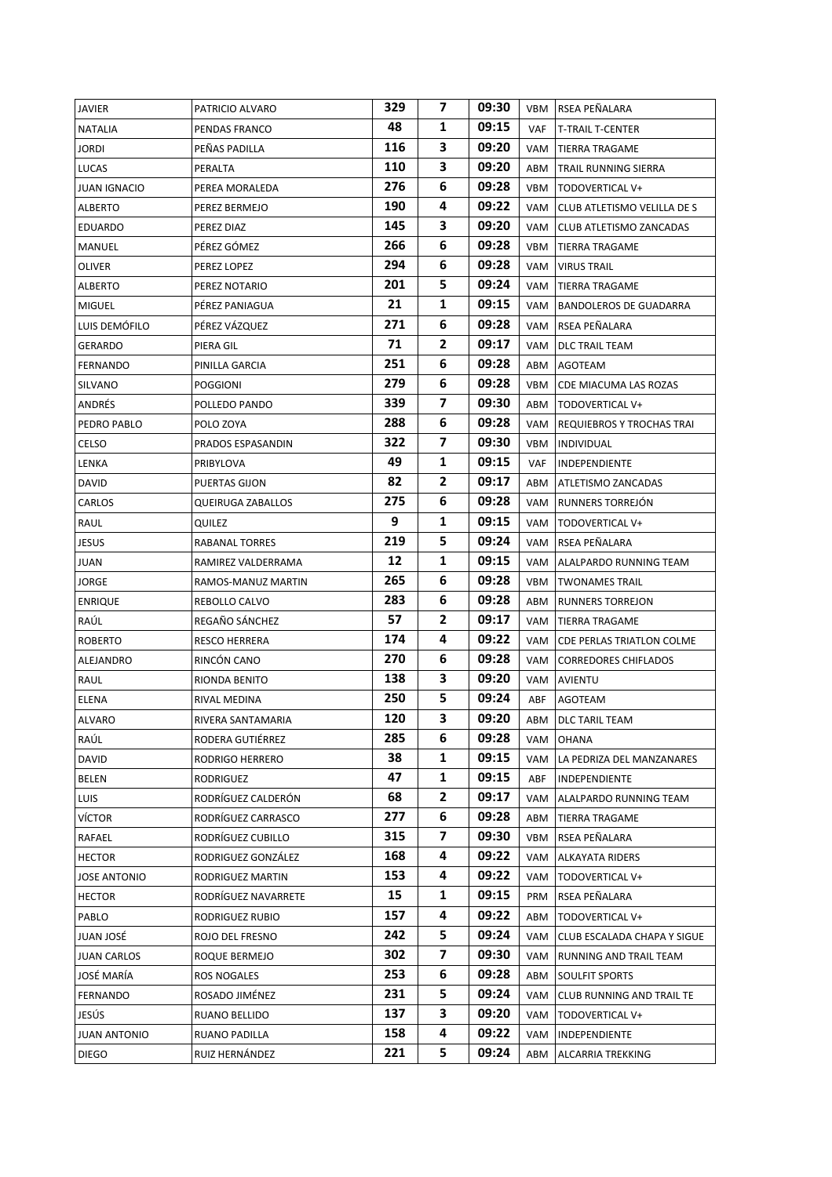| JAVIER              | PATRICIO ALVARO      | 329 | 7            | 09:30 |     | VBM RSEA PEÑALARA               |
|---------------------|----------------------|-----|--------------|-------|-----|---------------------------------|
| <b>NATALIA</b>      | PENDAS FRANCO        | 48  | 1            | 09:15 | VAF | <b>T-TRAIL T-CENTER</b>         |
| <b>JORDI</b>        | PEÑAS PADILLA        | 116 | 3            | 09:20 | VAM | <b>TIERRA TRAGAME</b>           |
| LUCAS               | PERALTA              | 110 | 3            | 09:20 | ABM | TRAIL RUNNING SIERRA            |
| <b>JUAN IGNACIO</b> | PEREA MORALEDA       | 276 | 6            | 09:28 |     | VBM   TODOVERTICAL V+           |
| <b>ALBERTO</b>      | PEREZ BERMEJO        | 190 | 4            | 09:22 | VAM | CLUB ATLETISMO VELILLA DE S     |
| EDUARDO             | PEREZ DIAZ           | 145 | 3            | 09:20 | VAM | CLUB ATLETISMO ZANCADAS         |
| MANUEL              | PÉREZ GÓMEZ          | 266 | 6            | 09:28 |     | VBM   TIERRA TRAGAME            |
| OLIVER              | PEREZ LOPEZ          | 294 | 6            | 09:28 | VAM | <b>VIRUS TRAIL</b>              |
| ALBERTO             | PEREZ NOTARIO        | 201 | 5            | 09:24 | VAM | <b>TIERRA TRAGAME</b>           |
| <b>MIGUEL</b>       | PÉREZ PANIAGUA       | 21  | 1            | 09:15 |     | VAM   BANDOLEROS DE GUADARRA    |
| LUIS DEMÓFILO       | PÉREZ VÁZQUEZ        | 271 | 6            | 09:28 |     | VAM RSEA PEÑALARA               |
| GERARDO             | PIERA GIL            | 71  | 2            | 09:17 | VAM | DLC TRAIL TEAM                  |
| FERNANDO            | PINILLA GARCIA       | 251 | 6            | 09:28 | ABM | AGOTEAM                         |
| SILVANO             | <b>POGGIONI</b>      | 279 | 6            | 09:28 | VBM | CDE MIACUMA LAS ROZAS           |
| ANDRÉS              | POLLEDO PANDO        | 339 | 7            | 09:30 |     | ABM   TODOVERTICAL V+           |
| PEDRO PABLO         | POLO ZOYA            | 288 | 6            | 09:28 | VAM | REQUIEBROS Y TROCHAS TRAI       |
| CELSO               | PRADOS ESPASANDIN    | 322 | 7            | 09:30 | VBM | INDIVIDUAL                      |
| LENKA               | PRIBYLOVA            | 49  | 1            | 09:15 | VAF | INDEPENDIENTE                   |
| DAVID               | <b>PUERTAS GIJON</b> | 82  | $\mathbf{2}$ | 09:17 | ABM | <b>ATLETISMO ZANCADAS</b>       |
| CARLOS              | QUEIRUGA ZABALLOS    | 275 | 6            | 09:28 |     | VAM RUNNERS TORREJÓN            |
| RAUL                | QUILEZ               | 9   | 1            | 09:15 | VAM | TODOVERTICAL V+                 |
| JESUS               | RABANAL TORRES       | 219 | 5            | 09:24 |     | VAM RSEA PEÑALARA               |
| JUAN                | RAMIREZ VALDERRAMA   | 12  | 1            | 09:15 | VAM | ALALPARDO RUNNING TEAM          |
| JORGE               | RAMOS-MANUZ MARTIN   | 265 | 6            | 09:28 |     | <b>VBM</b> TWONAMES TRAIL       |
| <b>ENRIQUE</b>      | REBOLLO CALVO        | 283 | 6            | 09:28 | ABM | <b>RUNNERS TORREJON</b>         |
| RAÚL                | REGAÑO SÁNCHEZ       | 57  | $\mathbf{z}$ | 09:17 | VAM | <b>TIERRA TRAGAME</b>           |
| <b>ROBERTO</b>      | <b>RESCO HERRERA</b> | 174 | 4            | 09:22 |     | VAM   CDE PERLAS TRIATLON COLME |
| ALEJANDRO           | RINCÓN CANO          | 270 | 6            | 09:28 | VAM | <b>CORREDORES CHIFLADOS</b>     |
| RAUL                | RIONDA BENITO        | 138 | 3            | 09:20 |     | VAM AVIENTU                     |
| ELENA               | RIVAL MEDINA         | 250 | 5            | 09:24 | ABF | AGOTEAM                         |
| ALVARO              | RIVERA SANTAMARIA    | 120 | 3            | 09:20 |     | ABM   DLC TARIL TEAM            |
| RAÚL                | RODERA GUTIÉRREZ     | 285 | 6            | 09:28 | VAM | OHANA                           |
| <b>DAVID</b>        | RODRIGO HERRERO      | 38  | 1            | 09:15 | VAM | LA PEDRIZA DEL MANZANARES       |
| BELEN               | RODRIGUEZ            | 47  | 1            | 09:15 | ABF | INDEPENDIENTE                   |
| LUIS                | RODRÍGUEZ CALDERÓN   | 68  | $\mathbf{2}$ | 09:17 | VAM | ALALPARDO RUNNING TEAM          |
| VÍCTOR              | RODRÍGUEZ CARRASCO   | 277 | 6            | 09:28 | ABM | TIERRA TRAGAME                  |
| RAFAEL              | RODRÍGUEZ CUBILLO    | 315 | 7            | 09:30 | VBM | RSEA PEÑALARA                   |
| <b>HECTOR</b>       | RODRIGUEZ GONZÁLEZ   | 168 | 4            | 09:22 | VAM | ALKAYATA RIDERS                 |
| <b>JOSE ANTONIO</b> | RODRIGUEZ MARTIN     | 153 | 4            | 09:22 | VAM | TODOVERTICAL V+                 |
| <b>HECTOR</b>       | RODRÍGUEZ NAVARRETE  | 15  | 1            | 09:15 | PRM | RSEA PEÑALARA                   |
| PABLO               | RODRIGUEZ RUBIO      | 157 | 4            | 09:22 | ABM | TODOVERTICAL V+                 |
| JUAN JOSÉ           | ROJO DEL FRESNO      | 242 | 5            | 09:24 | VAM | CLUB ESCALADA CHAPA Y SIGUE     |
| <b>JUAN CARLOS</b>  | ROQUE BERMEJO        | 302 | 7            | 09:30 | VAM | RUNNING AND TRAIL TEAM          |
| JOSÉ MARÍA          | ROS NOGALES          | 253 | 6            | 09:28 | ABM | SOULFIT SPORTS                  |
| FERNANDO            | ROSADO JIMÉNEZ       | 231 | 5            | 09:24 | VAM | CLUB RUNNING AND TRAIL TE       |
| JESÚS               | RUANO BELLIDO        | 137 | 3.           | 09:20 | VAM | TODOVERTICAL V+                 |
| JUAN ANTONIO        | RUANO PADILLA        | 158 | 4            | 09:22 | VAM | INDEPENDIENTE                   |
| <b>DIEGO</b>        | RUIZ HERNÁNDEZ       | 221 | 5            | 09:24 | ABM | ALCARRIA TREKKING               |